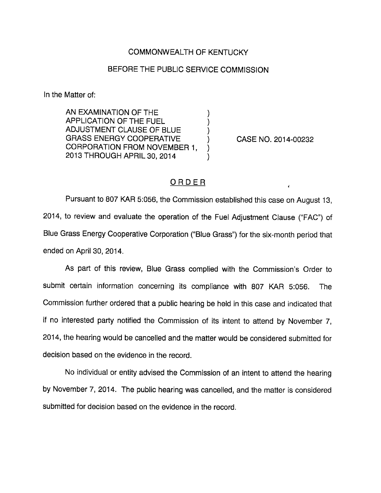## COMMONWEALTH OF KENTUCKY

## BEFORE THE PUBLIC SERVICE COMMISSION

In the Matter of:

AN EXAMINATION OF THE APPLICATION OF THE FUEL ADJUSTMENT CLAUSE OF BLUE GRASS ENERGY COOPERATIVE CORPORATION FROM NOVEMBER 1, 2013 THROUGH APRIL 30, 2014

CASE NO. 2014-00232

## ORDER

Pursuant to 807 KAR 5:056, the Commission established this case on August 13, 2014, to review and evaluate the operation of the Fuel Adjustment Clause ("FAC") of Blue Grass Energy Cooperative Corporation ("Blue Grass") for the six-month period that ended on April 30, 2014.

As part of this review. Blue Grass complied with the Commission's Order to submit certain information concerning its compliance with 807 KAR 5:056. The Commission further ordered that a public hearing be held in this case and indicated that if no interested party notified the Commission of its intent to attend by November 7, 2014, the hearing would be cancelled and the matter would be considered submitted for decision based on the evidence in the record.

No individual or entity advised the Commission of an intent to attend the hearing by November 7, 2014. The public hearing was cancelled, and the matter is considered submitted for decision based on the evidence in the record.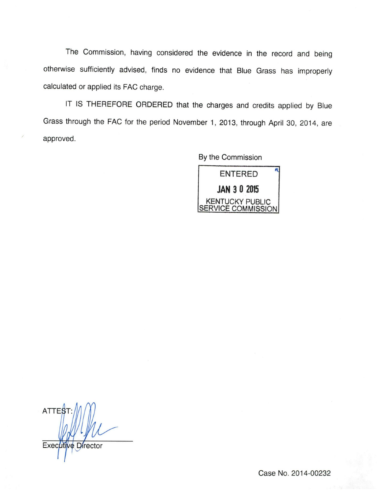The Commission, having considered the evidence in the record and being otherwise sufficiently advised, finds no evidence that Blue Grass has improperly calculated or applied its FAG charge.

IT IS THEREFORE ORDERED that the charges and credits applied by Blue Grass through the FAG for the period November 1, 2013, through April 30, 2014, are approved.

By the Commission

ENTERED JAN 3 0 2015 KENTUCKY PUBLIC SERVICE COMMISSION

ATTES Executive Director

Case No. 2014-00232